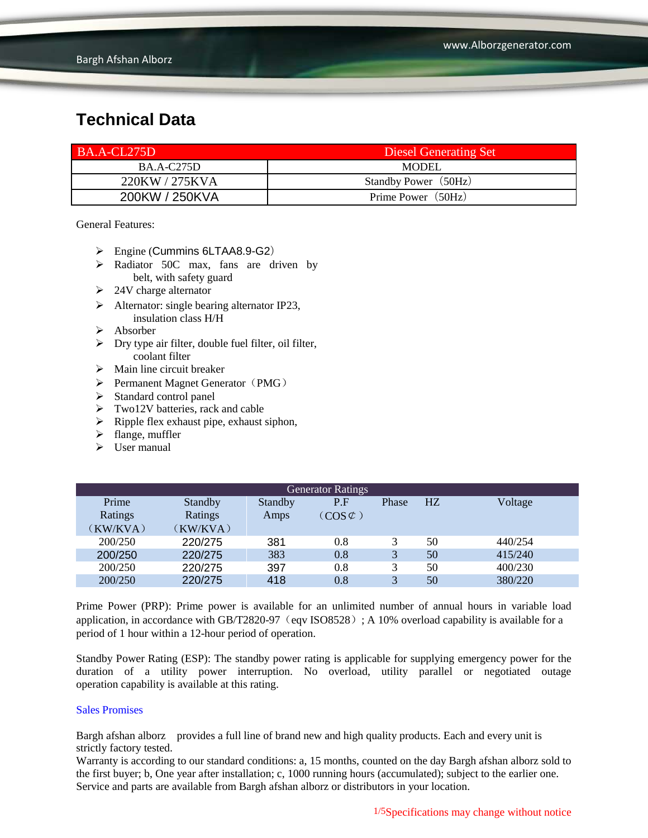| BA.A-CL275D       | Diesel Generating Set |
|-------------------|-----------------------|
| <b>BA.A-C275D</b> | <b>MODEL</b>          |
| 220KW / 275KVA    | Standby Power (50Hz)  |
| 200KW / 250KVA    | Prime Power (50Hz)    |

General Features:

- Engine (Cummins 6LTAA8.9-G2)
- $\triangleright$  Radiator 50C max, fans are driven by belt, with safety guard
- $\geq$  24V charge alternator
- $\triangleright$  Alternator: single bearing alternator IP23, insulation class H/H
- Absorber
- $\triangleright$  Dry type air filter, double fuel filter, oil filter, coolant filter
- $\triangleright$  Main line circuit breaker
- $\triangleright$  Permanent Magnet Generator (PMG)
- $\triangleright$  Standard control panel
- $\triangleright$  Two12V batteries, rack and cable
- $\triangleright$  Ripple flex exhaust pipe, exhaust siphon,
- $\blacktriangleright$  flange, muffler
- $\triangleright$  User manual

| <b>Generator Ratings</b> |          |         |                     |              |                |         |
|--------------------------|----------|---------|---------------------|--------------|----------------|---------|
| Prime                    | Standby  | Standby | P.F                 | Phase        | H <sub>Z</sub> | Voltage |
| Ratings                  | Ratings  | Amps    | $(COS \mathcal{C})$ |              |                |         |
| (KW/KVA)                 | (KW/KVA) |         |                     |              |                |         |
| 200/250                  | 220/275  | 381     | 0.8                 |              | 50             | 440/254 |
| 200/250                  | 220/275  | 383     | 0.8                 | 3            | 50             | 415/240 |
| 200/250                  | 220/275  | 397     | 0.8                 |              | 50             | 400/230 |
| 200/250                  | 220/275  | 418     | 0.8                 | $\mathbf{R}$ | 50             | 380/220 |

Prime Power (PRP): Prime power is available for an unlimited number of annual hours in variable load application, in accordance with GB/T2820-97 (eqv ISO8528); A 10% overload capability is available for a period of 1 hour within a 12-hour period of operation.

Standby Power Rating (ESP): The standby power rating is applicable for supplying emergency power for the duration of a utility power interruption. No overload, utility parallel or negotiated outage operation capability is available at this rating.

#### Sales Promises

Bargh afshan alborz provides a full line of brand new and high quality products. Each and every unit is strictly factory tested.

Warranty is according to our standard conditions: a, 15 months, counted on the day Bargh afshan alborz sold to the first buyer; b, One year after installation; c, 1000 running hours (accumulated); subject to the earlier one. Service and parts are available from Bargh afshan alborz or distributors in your location.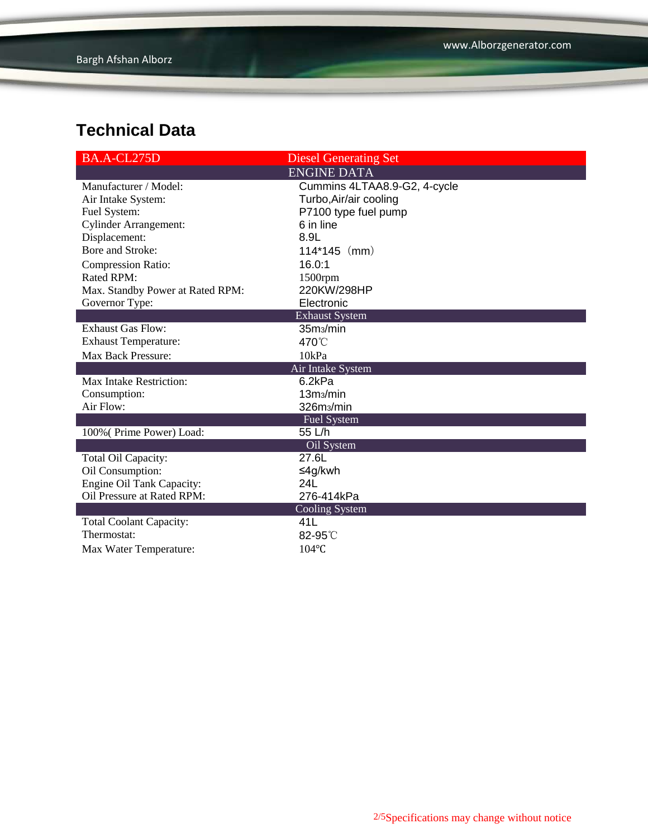| BA.A-CL275D                      | <b>Diesel Generating Set</b> |
|----------------------------------|------------------------------|
|                                  | <b>ENGINE DATA</b>           |
| Manufacturer / Model:            | Cummins 4LTAA8.9-G2, 4-cycle |
| Air Intake System:               | Turbo, Air/air cooling       |
| Fuel System:                     | P7100 type fuel pump         |
| <b>Cylinder Arrangement:</b>     | 6 in line                    |
| Displacement:                    | 8.9L                         |
| Bore and Stroke:                 | $114*145$ (mm)               |
| <b>Compression Ratio:</b>        | 16.0:1                       |
| Rated RPM:                       | 1500rpm                      |
| Max. Standby Power at Rated RPM: | 220KW/298HP                  |
| Governor Type:                   | Electronic                   |
|                                  | <b>Exhaust System</b>        |
| <b>Exhaust Gas Flow:</b>         | 35m <sub>3</sub> /min        |
| <b>Exhaust Temperature:</b>      | 470°C                        |
| <b>Max Back Pressure:</b>        | 10kPa                        |
|                                  | Air Intake System            |
| Max Intake Restriction:          | 6.2kPa                       |
| Consumption:                     | 13 <sub>ms</sub> /min        |
| Air Flow:                        | 326m <sub>3</sub> /min       |
|                                  | <b>Fuel System</b>           |
| 100% (Prime Power) Load:         | 55 L/h                       |
|                                  | Oil System                   |
| Total Oil Capacity:              | 27.6L                        |
| Oil Consumption:                 | ≤4g/kwh                      |
| <b>Engine Oil Tank Capacity:</b> | 24L                          |
| Oil Pressure at Rated RPM:       | 276-414kPa                   |
|                                  | <b>Cooling System</b>        |
| <b>Total Coolant Capacity:</b>   | 41L                          |
| Thermostat:                      | 82-95°C                      |
| Max Water Temperature:           | $104$ °C                     |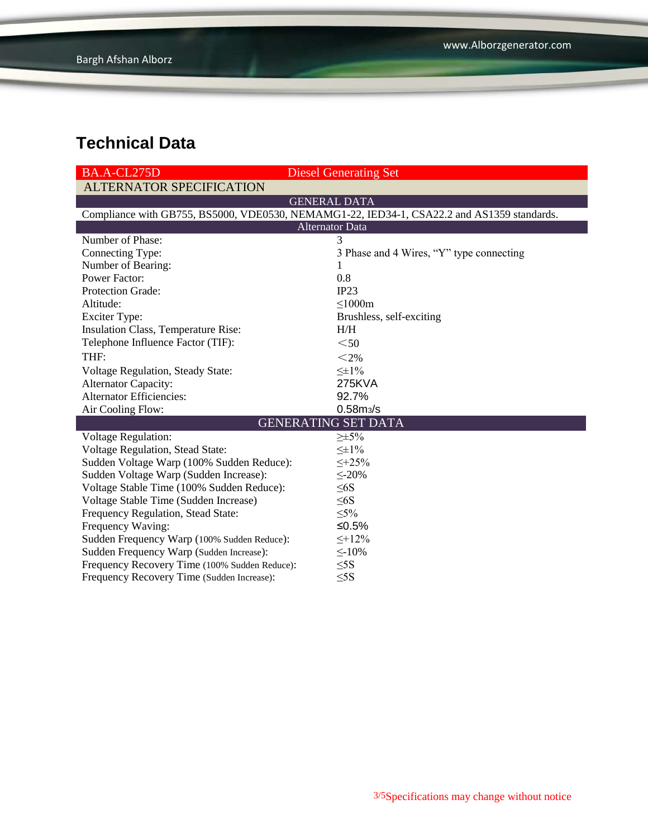| BA.A-CL275D                                                                                | <b>Diesel Generating Set</b>             |  |  |  |
|--------------------------------------------------------------------------------------------|------------------------------------------|--|--|--|
| <b>ALTERNATOR SPECIFICATION</b>                                                            |                                          |  |  |  |
|                                                                                            | <b>GENERAL DATA</b>                      |  |  |  |
| Compliance with GB755, BS5000, VDE0530, NEMAMG1-22, IED34-1, CSA22.2 and AS1359 standards. |                                          |  |  |  |
| <b>Alternator Data</b>                                                                     |                                          |  |  |  |
| Number of Phase:                                                                           | 3                                        |  |  |  |
| Connecting Type:                                                                           | 3 Phase and 4 Wires, "Y" type connecting |  |  |  |
| Number of Bearing:                                                                         |                                          |  |  |  |
| <b>Power Factor:</b>                                                                       | 0.8                                      |  |  |  |
| Protection Grade:                                                                          | IP23                                     |  |  |  |
| Altitude:                                                                                  | $\leq$ 1000m                             |  |  |  |
| <b>Exciter Type:</b>                                                                       | Brushless, self-exciting                 |  |  |  |
| Insulation Class, Temperature Rise:                                                        | H/H                                      |  |  |  |
| Telephone Influence Factor (TIF):                                                          | $50$                                     |  |  |  |
| THF:                                                                                       | $<$ 2%                                   |  |  |  |
| Voltage Regulation, Steady State:                                                          | $\leq \pm 1\%$                           |  |  |  |
| <b>Alternator Capacity:</b>                                                                | 275KVA                                   |  |  |  |
| <b>Alternator Efficiencies:</b>                                                            | 92.7%                                    |  |  |  |
| Air Cooling Flow:                                                                          | 0.58 <sub>ms/s</sub>                     |  |  |  |
|                                                                                            | <b>GENERATING SET DATA</b>               |  |  |  |
| <b>Voltage Regulation:</b>                                                                 | $\geq \pm 5\%$                           |  |  |  |
| Voltage Regulation, Stead State:                                                           | $\leq \pm 1\%$                           |  |  |  |
| Sudden Voltage Warp (100% Sudden Reduce):                                                  | $\leq +25\%$                             |  |  |  |
| Sudden Voltage Warp (Sudden Increase):                                                     | $\leq$ -20%                              |  |  |  |
| Voltage Stable Time (100% Sudden Reduce):                                                  | $\leq 6S$                                |  |  |  |
| Voltage Stable Time (Sudden Increase)                                                      | $\leq 6S$                                |  |  |  |
| Frequency Regulation, Stead State:                                                         | $\leq 5\%$                               |  |  |  |
| Frequency Waving:                                                                          | ≤0.5%                                    |  |  |  |
| Sudden Frequency Warp (100% Sudden Reduce):                                                | $\leq +12\%$                             |  |  |  |
| Sudden Frequency Warp (Sudden Increase):                                                   | $\leq$ -10%                              |  |  |  |
| Frequency Recovery Time (100% Sudden Reduce):                                              | $\leq$ 5S                                |  |  |  |
| Frequency Recovery Time (Sudden Increase):                                                 | $\leq$ 5S                                |  |  |  |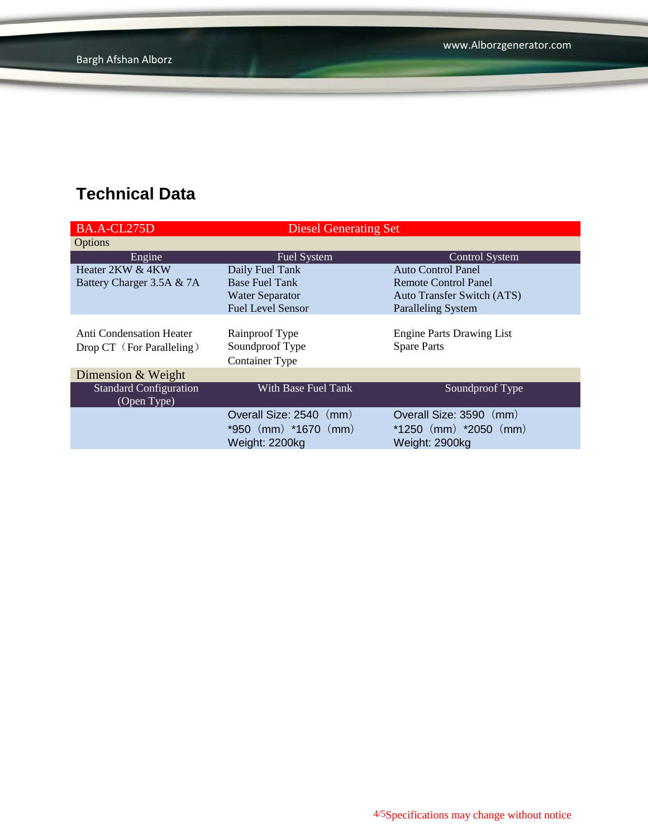| BA.A-CL275D                     | <b>Diesel Generating Set</b> |                                  |  |
|---------------------------------|------------------------------|----------------------------------|--|
| <b>Options</b>                  |                              |                                  |  |
| Engine                          | <b>Fuel System</b>           | Control System                   |  |
| Heater 2KW & 4KW                | Daily Fuel Tank              | Auto Control Panel               |  |
| Battery Charger 3.5A & 7A       | <b>Base Fuel Tank</b>        | Remote Control Panel             |  |
|                                 | <b>Water Separator</b>       | Auto Transfer Switch (ATS)       |  |
|                                 | <b>Fuel Level Sensor</b>     | <b>Paralleling System</b>        |  |
|                                 |                              |                                  |  |
| <b>Anti Condensation Heater</b> | Rainproof Type               | <b>Engine Parts Drawing List</b> |  |
| Drop CT (For Paralleling)       | Soundproof Type              | <b>Spare Parts</b>               |  |
|                                 | Container Type               |                                  |  |
| Dimension & Weight              |                              |                                  |  |
| <b>Standard Configuration</b>   | With Base Fuel Tank          | Soundproof Type                  |  |
| (Open Type)                     |                              |                                  |  |
|                                 | Overall Size: 2540 (mm)      | Overall Size: 3590 (mm)          |  |
|                                 | *950 (mm) *1670 (mm)         | $*1250$ (mm) $*2050$ (mm)        |  |
|                                 | Weight: 2200kg               | Weight: 2900kg                   |  |